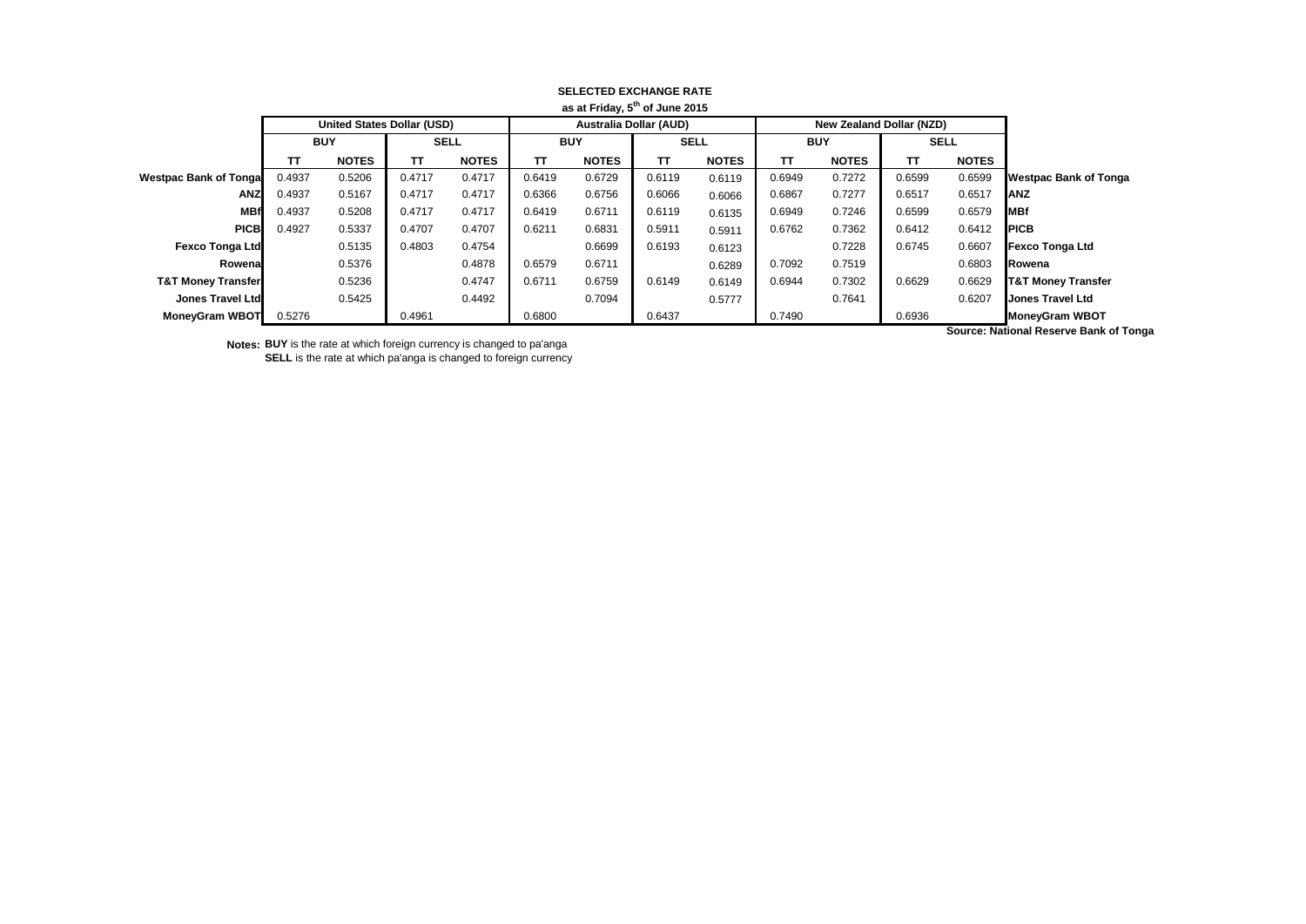| as at Friday, 5 or June 2015  |                                   |              |             |              |            |                               |             |              |            |                                 |             |              |                               |
|-------------------------------|-----------------------------------|--------------|-------------|--------------|------------|-------------------------------|-------------|--------------|------------|---------------------------------|-------------|--------------|-------------------------------|
|                               | <b>United States Dollar (USD)</b> |              |             |              |            | <b>Australia Dollar (AUD)</b> |             |              |            | <b>New Zealand Dollar (NZD)</b> |             |              |                               |
|                               | <b>BUY</b>                        |              | <b>SELL</b> |              | <b>BUY</b> |                               | <b>SELL</b> |              | <b>BUY</b> |                                 | <b>SELL</b> |              |                               |
|                               | TТ                                | <b>NOTES</b> | TT.         | <b>NOTES</b> | TΤ         | <b>NOTES</b>                  | π           | <b>NOTES</b> | <b>TT</b>  | <b>NOTES</b>                    | TT.         | <b>NOTES</b> |                               |
| <b>Westpac Bank of Tongal</b> | 0.4937                            | 0.5206       | 0.4717      | 0.4717       | 0.6419     | 0.6729                        | 0.6119      | 0.6119       | 0.6949     | 0.7272                          | 0.6599      | 0.6599       | Westpac Bank of Tonga         |
| <b>ANZ</b>                    | 0.4937                            | 0.5167       | 0.4717      | 0.4717       | 0.6366     | 0.6756                        | 0.6066      | 0.6066       | 0.6867     | 0.7277                          | 0.6517      | 0.6517       | <b>IANZ</b>                   |
| <b>MBf</b>                    | 0.4937                            | 0.5208       | 0.4717      | 0.4717       | 0.6419     | 0.6711                        | 0.6119      | 0.6135       | 0.6949     | 0.7246                          | 0.6599      | 0.6579       | <b>IMBf</b>                   |
| <b>PICB</b>                   | 0.4927                            | 0.5337       | 0.4707      | 0.4707       | 0.6211     | 0.6831                        | 0.5911      | 0.5911       | 0.6762     | 0.7362                          | 0.6412      | 0.6412       | <b>IPICB</b>                  |
| <b>Fexco Tonga Ltd</b>        |                                   | 0.5135       | 0.4803      | 0.4754       |            | 0.6699                        | 0.6193      | 0.6123       |            | 0.7228                          | 0.6745      | 0.6607       | <b>Fexco Tonga Ltd</b>        |
| Rowenal                       |                                   | 0.5376       |             | 0.4878       | 0.6579     | 0.6711                        |             | 0.6289       | 0.7092     | 0.7519                          |             | 0.6803       | <b>IRowena</b>                |
| <b>T&amp;T Money Transfer</b> |                                   | 0.5236       |             | 0.4747       | 0.6711     | 0.6759                        | 0.6149      | 0.6149       | 0.6944     | 0.7302                          | 0.6629      | 0.6629       | <b>T&amp;T Money Transfer</b> |
| Jones Travel Ltd              |                                   | 0.5425       |             | 0.4492       |            | 0.7094                        |             | 0.5777       |            | 0.7641                          |             | 0.6207       | <b>Jones Travel Ltd</b>       |
| <b>MoneyGram WBOT</b>         | 0.5276                            |              | 0.4961      |              | 0.6800     |                               | 0.6437      |              | 0.7490     |                                 | 0.6936      |              | <b>MoneyGram WBOT</b>         |

## **SELECTED EXCHANGE RATE as at Friday, 5th of June 2015**

**Notes: BUY** is the rate at which foreign currency is changed to pa'anga **SELL** is the rate at which pa'anga is changed to foreign currency **Source: National Reserve Bank of Tonga**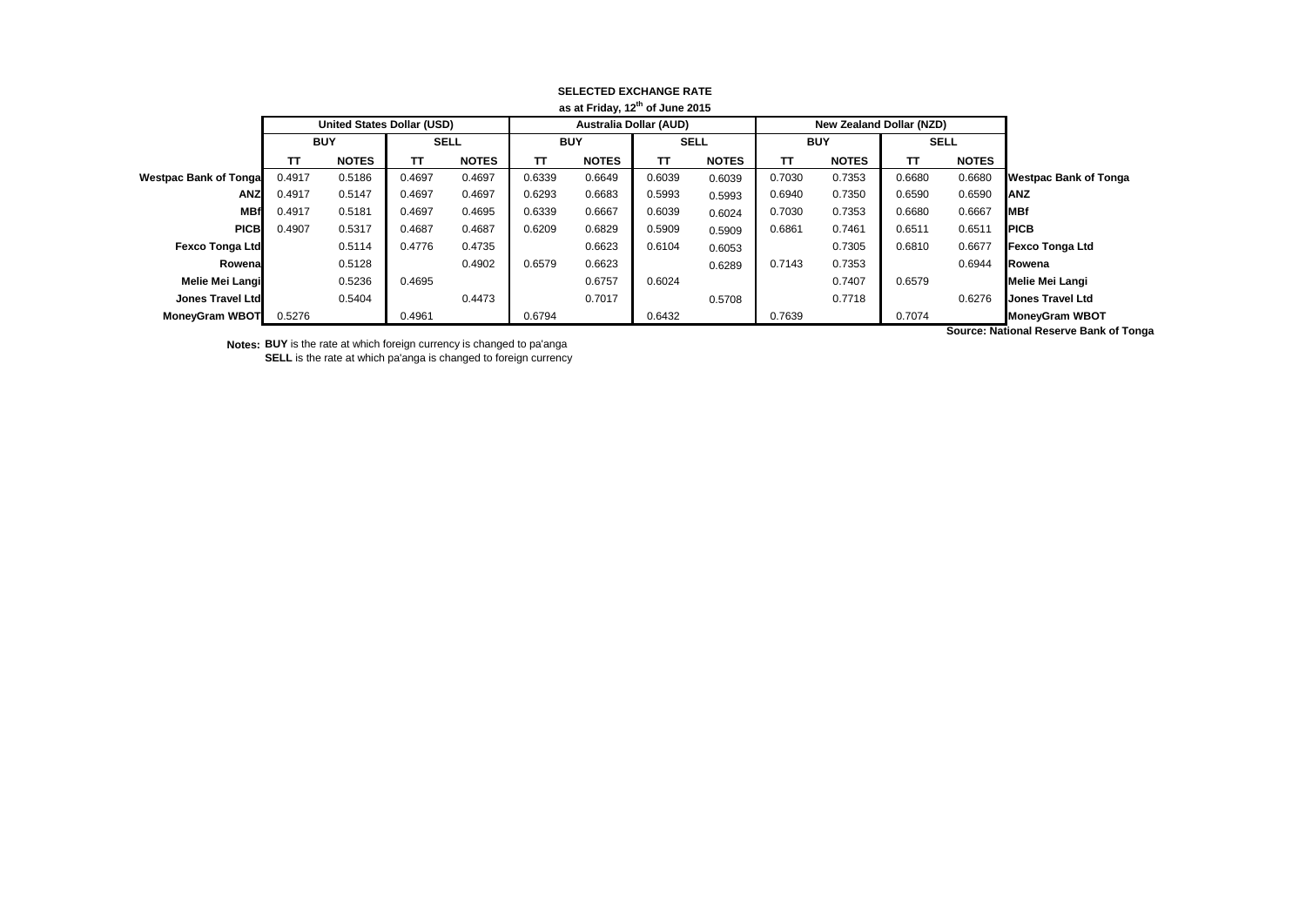| as at Friday, 12" of June 2015 |                                   |              |             |              |            |                               |             |              |            |                                 |             |              |                              |
|--------------------------------|-----------------------------------|--------------|-------------|--------------|------------|-------------------------------|-------------|--------------|------------|---------------------------------|-------------|--------------|------------------------------|
|                                | <b>United States Dollar (USD)</b> |              |             |              |            | <b>Australia Dollar (AUD)</b> |             |              |            | <b>New Zealand Dollar (NZD)</b> |             |              |                              |
|                                | <b>BUY</b>                        |              | <b>SELL</b> |              | <b>BUY</b> |                               | <b>SELL</b> |              | <b>BUY</b> |                                 | <b>SELL</b> |              |                              |
|                                | TΤ                                | <b>NOTES</b> | ΤТ          | <b>NOTES</b> | TΤ         | <b>NOTES</b>                  | π           | <b>NOTES</b> | <b>TT</b>  | <b>NOTES</b>                    | TT.         | <b>NOTES</b> |                              |
| <b>Westpac Bank of Tongal</b>  | 0.4917                            | 0.5186       | 0.4697      | 0.4697       | 0.6339     | 0.6649                        | 0.6039      | 0.6039       | 0.7030     | 0.7353                          | 0.6680      | 0.6680       | <b>Westpac Bank of Tonga</b> |
| ANZ                            | 0.4917                            | 0.5147       | 0.4697      | 0.4697       | 0.6293     | 0.6683                        | 0.5993      | 0.5993       | 0.6940     | 0.7350                          | 0.6590      | 0.6590       | <b>IANZ</b>                  |
| <b>MBf</b>                     | 0.4917                            | 0.5181       | 0.4697      | 0.4695       | 0.6339     | 0.6667                        | 0.6039      | 0.6024       | 0.7030     | 0.7353                          | 0.6680      | 0.6667       | <b>IMBf</b>                  |
| <b>PICB</b>                    | 0.4907                            | 0.5317       | 0.4687      | 0.4687       | 0.6209     | 0.6829                        | 0.5909      | 0.5909       | 0.6861     | 0.7461                          | 0.6511      | 0.6511       | <b>IPICB</b>                 |
| <b>Fexco Tonga Ltd</b>         |                                   | 0.5114       | 0.4776      | 0.4735       |            | 0.6623                        | 0.6104      | 0.6053       |            | 0.7305                          | 0.6810      | 0.6677       | <b>Fexco Tonga Ltd</b>       |
| Rowenal                        |                                   | 0.5128       |             | 0.4902       | 0.6579     | 0.6623                        |             | 0.6289       | 0.7143     | 0.7353                          |             | 0.6944       | Rowena                       |
| Melie Mei Langi                |                                   | 0.5236       | 0.4695      |              |            | 0.6757                        | 0.6024      |              |            | 0.7407                          | 0.6579      |              | <b>Melie Mei Langi</b>       |
| Jones Travel Ltd               |                                   | 0.5404       |             | 0.4473       |            | 0.7017                        |             | 0.5708       |            | 0.7718                          |             | 0.6276       | <b>Jones Travel Ltd</b>      |
| <b>MoneyGram WBOT</b>          | 0.5276                            |              | 0.4961      |              | 0.6794     |                               | 0.6432      |              | 0.7639     |                                 | 0.7074      |              | <b>MoneyGram WBOT</b>        |

## **SELECTED EXCHANGE RATE as at Friday, 12th of June 2015**

**Notes: BUY** is the rate at which foreign currency is changed to pa'anga **SELL** is the rate at which pa'anga is changed to foreign currency **Source: National Reserve Bank of Tonga**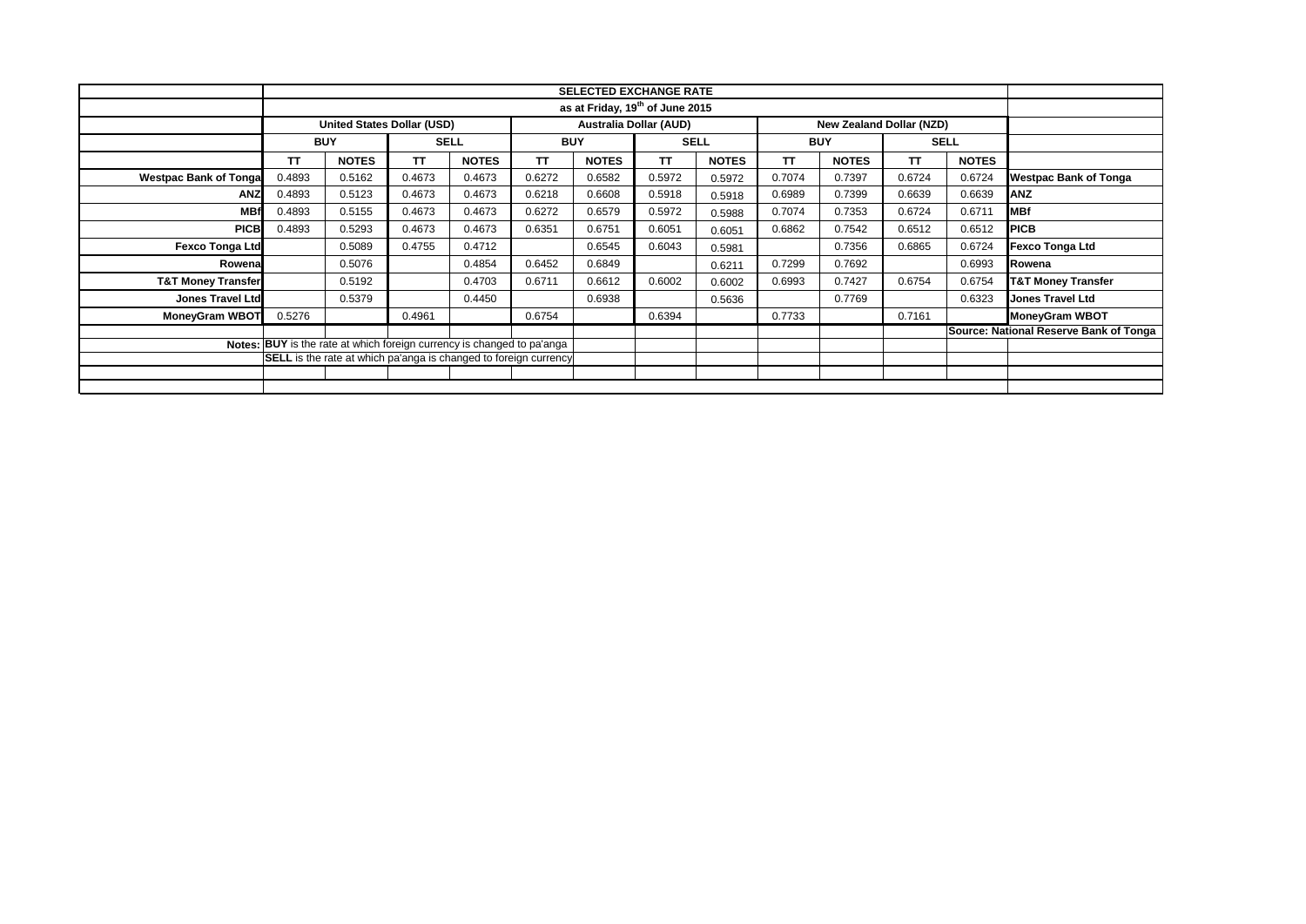|                                                                         | <b>SELECTED EXCHANGE RATE</b>                                                                         |              |             |              |            |              |             |              |            |              |             |              |                                        |
|-------------------------------------------------------------------------|-------------------------------------------------------------------------------------------------------|--------------|-------------|--------------|------------|--------------|-------------|--------------|------------|--------------|-------------|--------------|----------------------------------------|
|                                                                         | as at Friday, 19 <sup>th</sup> of June 2015                                                           |              |             |              |            |              |             |              |            |              |             |              |                                        |
|                                                                         | <b>Australia Dollar (AUD)</b><br><b>United States Dollar (USD)</b><br><b>New Zealand Dollar (NZD)</b> |              |             |              |            |              |             |              |            |              |             |              |                                        |
|                                                                         | <b>BUY</b>                                                                                            |              | <b>SELL</b> |              | <b>BUY</b> |              | <b>SELL</b> |              | <b>BUY</b> |              | <b>SELL</b> |              |                                        |
|                                                                         | <b>TT</b>                                                                                             | <b>NOTES</b> | <b>TT</b>   | <b>NOTES</b> | <b>TT</b>  | <b>NOTES</b> | <b>TT</b>   | <b>NOTES</b> | <b>TT</b>  | <b>NOTES</b> | <b>TT</b>   | <b>NOTES</b> |                                        |
| <b>Westpac Bank of Tongal</b>                                           | 0.4893                                                                                                | 0.5162       | 0.4673      | 0.4673       | 0.6272     | 0.6582       | 0.5972      | 0.5972       | 0.7074     | 0.7397       | 0.6724      | 0.6724       | <b>Westpac Bank of Tonga</b>           |
| <b>ANZ</b>                                                              | 0.4893                                                                                                | 0.5123       | 0.4673      | 0.4673       | 0.6218     | 0.6608       | 0.5918      | 0.5918       | 0.6989     | 0.7399       | 0.6639      | 0.6639       | <b>ANZ</b>                             |
| <b>MBf</b>                                                              | 0.4893                                                                                                | 0.5155       | 0.4673      | 0.4673       | 0.6272     | 0.6579       | 0.5972      | 0.5988       | 0.7074     | 0.7353       | 0.6724      | 0.6711       | <b>MBf</b>                             |
| <b>PICB</b>                                                             | 0.4893                                                                                                | 0.5293       | 0.4673      | 0.4673       | 0.6351     | 0.6751       | 0.6051      | 0.6051       | 0.6862     | 0.7542       | 0.6512      | 0.6512       | <b>PICB</b>                            |
| Fexco Tonga Ltd                                                         |                                                                                                       | 0.5089       | 0.4755      | 0.4712       |            | 0.6545       | 0.6043      | 0.5981       |            | 0.7356       | 0.6865      | 0.6724       | <b>Fexco Tonga Ltd</b>                 |
| Rowenal                                                                 |                                                                                                       | 0.5076       |             | 0.4854       | 0.6452     | 0.6849       |             | 0.6211       | 0.7299     | 0.7692       |             | 0.6993       | Rowena                                 |
| <b>T&amp;T Money Transfer</b>                                           |                                                                                                       | 0.5192       |             | 0.4703       | 0.6711     | 0.6612       | 0.6002      | 0.6002       | 0.6993     | 0.7427       | 0.6754      | 0.6754       | <b>T&amp;T Money Transfer</b>          |
| <b>Jones Travel Ltd</b>                                                 |                                                                                                       | 0.5379       |             | 0.4450       |            | 0.6938       |             | 0.5636       |            | 0.7769       |             | 0.6323       | <b>Jones Travel Ltd</b>                |
| <b>MoneyGram WBOT</b>                                                   | 0.5276                                                                                                |              | 0.4961      |              | 0.6754     |              | 0.6394      |              | 0.7733     |              | 0.7161      |              | <b>MoneyGram WBOT</b>                  |
|                                                                         |                                                                                                       |              |             |              |            |              |             |              |            |              |             |              | Source: National Reserve Bank of Tonga |
| Notes: BUY is the rate at which foreign currency is changed to pa'anga  |                                                                                                       |              |             |              |            |              |             |              |            |              |             |              |                                        |
| <b>SELL</b> is the rate at which pa'anga is changed to foreign currency |                                                                                                       |              |             |              |            |              |             |              |            |              |             |              |                                        |
|                                                                         |                                                                                                       |              |             |              |            |              |             |              |            |              |             |              |                                        |
|                                                                         |                                                                                                       |              |             |              |            |              |             |              |            |              |             |              |                                        |